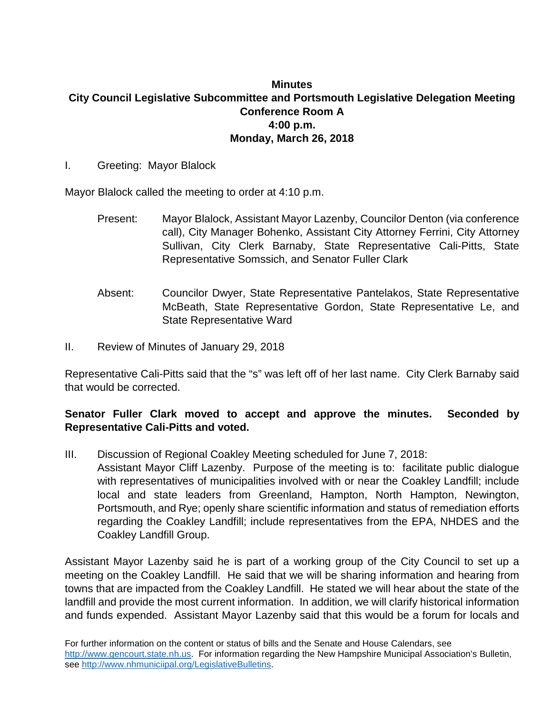## **Minutes City Council Legislative Subcommittee and Portsmouth Legislative Delegation Meeting Conference Room A 4:00 p.m. Monday, March 26, 2018**

I. Greeting: Mayor Blalock

Mayor Blalock called the meeting to order at 4:10 p.m.

- Present: Mayor Blalock, Assistant Mayor Lazenby, Councilor Denton (via conference call), City Manager Bohenko, Assistant City Attorney Ferrini, City Attorney Sullivan, City Clerk Barnaby, State Representative Cali-Pitts, State Representative Somssich, and Senator Fuller Clark
- Absent: Councilor Dwyer, State Representative Pantelakos, State Representative McBeath, State Representative Gordon, State Representative Le, and State Representative Ward
- II. Review of Minutes of January 29, 2018

Representative Cali-Pitts said that the "s" was left off of her last name. City Clerk Barnaby said that would be corrected.

## **Senator Fuller Clark moved to accept and approve the minutes. Seconded by Representative Cali-Pitts and voted.**

III. Discussion of Regional Coakley Meeting scheduled for June 7, 2018: Assistant Mayor Cliff Lazenby. Purpose of the meeting is to: facilitate public dialogue with representatives of municipalities involved with or near the Coakley Landfill; include

local and state leaders from Greenland, Hampton, North Hampton, Newington, Portsmouth, and Rye; openly share scientific information and status of remediation efforts regarding the Coakley Landfill; include representatives from the EPA, NHDES and the Coakley Landfill Group.

Assistant Mayor Lazenby said he is part of a working group of the City Council to set up a meeting on the Coakley Landfill. He said that we will be sharing information and hearing from towns that are impacted from the Coakley Landfill. He stated we will hear about the state of the landfill and provide the most current information. In addition, we will clarify historical information and funds expended. Assistant Mayor Lazenby said that this would be a forum for locals and

For further information on the content or status of bills and the Senate and House Calendars, see [http://www.gencourt.state.nh.us.](http://www.gencourt.state.nh.us/) For information regarding the New Hampshire Municipal Association's Bulletin, see [http://www.nhmuniciipal.org/LegislativeBulletins.](http://www.nhmuniciipal.org/LegislativeBulletins)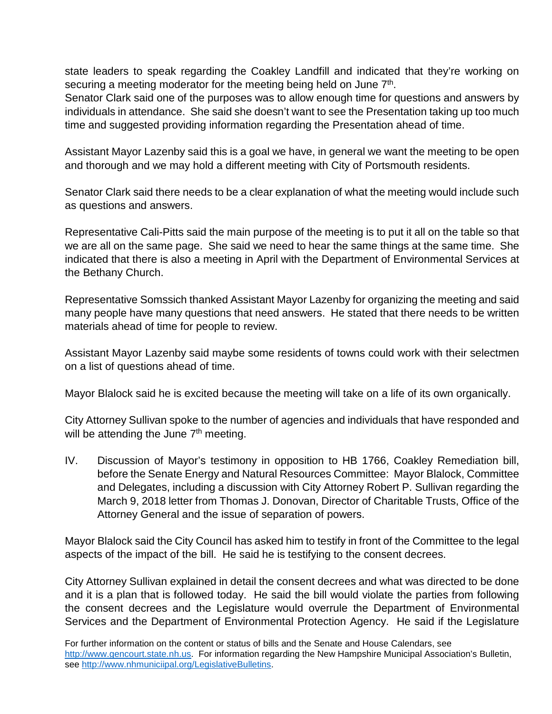state leaders to speak regarding the Coakley Landfill and indicated that they're working on securing a meeting moderator for the meeting being held on June 7<sup>th</sup>.

Senator Clark said one of the purposes was to allow enough time for questions and answers by individuals in attendance. She said she doesn't want to see the Presentation taking up too much time and suggested providing information regarding the Presentation ahead of time.

Assistant Mayor Lazenby said this is a goal we have, in general we want the meeting to be open and thorough and we may hold a different meeting with City of Portsmouth residents.

Senator Clark said there needs to be a clear explanation of what the meeting would include such as questions and answers.

Representative Cali-Pitts said the main purpose of the meeting is to put it all on the table so that we are all on the same page. She said we need to hear the same things at the same time. She indicated that there is also a meeting in April with the Department of Environmental Services at the Bethany Church.

Representative Somssich thanked Assistant Mayor Lazenby for organizing the meeting and said many people have many questions that need answers. He stated that there needs to be written materials ahead of time for people to review.

Assistant Mayor Lazenby said maybe some residents of towns could work with their selectmen on a list of questions ahead of time.

Mayor Blalock said he is excited because the meeting will take on a life of its own organically.

City Attorney Sullivan spoke to the number of agencies and individuals that have responded and will be attending the June  $7<sup>th</sup>$  meeting.

IV. Discussion of Mayor's testimony in opposition to HB 1766, Coakley Remediation bill, before the Senate Energy and Natural Resources Committee: Mayor Blalock, Committee and Delegates, including a discussion with City Attorney Robert P. Sullivan regarding the March 9, 2018 letter from Thomas J. Donovan, Director of Charitable Trusts, Office of the Attorney General and the issue of separation of powers.

Mayor Blalock said the City Council has asked him to testify in front of the Committee to the legal aspects of the impact of the bill. He said he is testifying to the consent decrees.

City Attorney Sullivan explained in detail the consent decrees and what was directed to be done and it is a plan that is followed today. He said the bill would violate the parties from following the consent decrees and the Legislature would overrule the Department of Environmental Services and the Department of Environmental Protection Agency. He said if the Legislature

For further information on the content or status of bills and the Senate and House Calendars, see [http://www.gencourt.state.nh.us.](http://www.gencourt.state.nh.us/) For information regarding the New Hampshire Municipal Association's Bulletin, see [http://www.nhmuniciipal.org/LegislativeBulletins.](http://www.nhmuniciipal.org/LegislativeBulletins)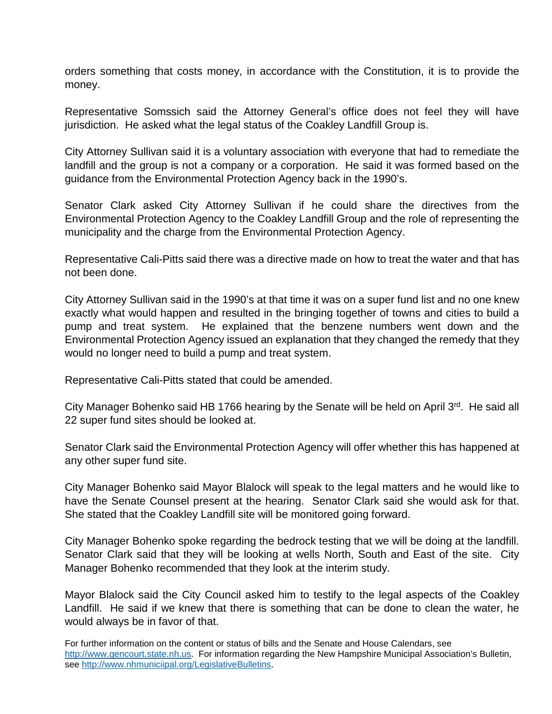orders something that costs money, in accordance with the Constitution, it is to provide the money.

Representative Somssich said the Attorney General's office does not feel they will have jurisdiction. He asked what the legal status of the Coakley Landfill Group is.

City Attorney Sullivan said it is a voluntary association with everyone that had to remediate the landfill and the group is not a company or a corporation. He said it was formed based on the guidance from the Environmental Protection Agency back in the 1990's.

Senator Clark asked City Attorney Sullivan if he could share the directives from the Environmental Protection Agency to the Coakley Landfill Group and the role of representing the municipality and the charge from the Environmental Protection Agency.

Representative Cali-Pitts said there was a directive made on how to treat the water and that has not been done.

City Attorney Sullivan said in the 1990's at that time it was on a super fund list and no one knew exactly what would happen and resulted in the bringing together of towns and cities to build a pump and treat system. He explained that the benzene numbers went down and the Environmental Protection Agency issued an explanation that they changed the remedy that they would no longer need to build a pump and treat system.

Representative Cali-Pitts stated that could be amended.

City Manager Bohenko said HB 1766 hearing by the Senate will be held on April 3rd. He said all 22 super fund sites should be looked at.

Senator Clark said the Environmental Protection Agency will offer whether this has happened at any other super fund site.

City Manager Bohenko said Mayor Blalock will speak to the legal matters and he would like to have the Senate Counsel present at the hearing. Senator Clark said she would ask for that. She stated that the Coakley Landfill site will be monitored going forward.

City Manager Bohenko spoke regarding the bedrock testing that we will be doing at the landfill. Senator Clark said that they will be looking at wells North, South and East of the site. City Manager Bohenko recommended that they look at the interim study.

Mayor Blalock said the City Council asked him to testify to the legal aspects of the Coakley Landfill. He said if we knew that there is something that can be done to clean the water, he would always be in favor of that.

For further information on the content or status of bills and the Senate and House Calendars, see [http://www.gencourt.state.nh.us.](http://www.gencourt.state.nh.us/) For information regarding the New Hampshire Municipal Association's Bulletin, see [http://www.nhmuniciipal.org/LegislativeBulletins.](http://www.nhmuniciipal.org/LegislativeBulletins)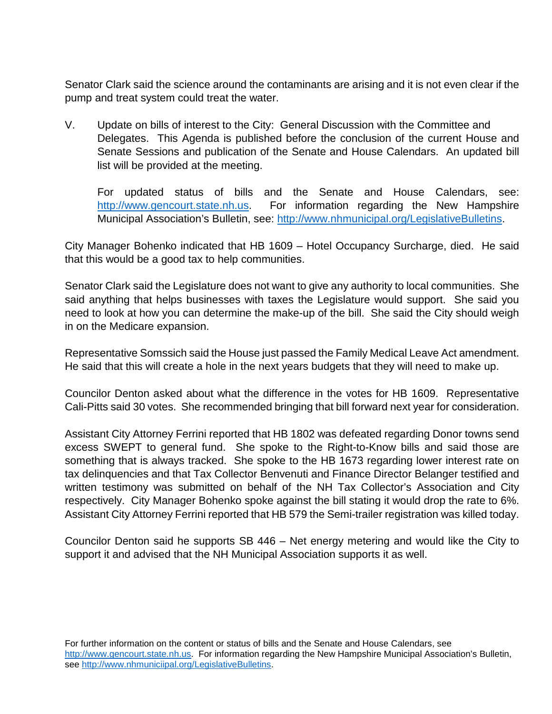Senator Clark said the science around the contaminants are arising and it is not even clear if the pump and treat system could treat the water.

V. Update on bills of interest to the City: General Discussion with the Committee and Delegates. This Agenda is published before the conclusion of the current House and Senate Sessions and publication of the Senate and House Calendars. An updated bill list will be provided at the meeting.

For updated status of bills and the Senate and House Calendars, see: [http://www.gencourt.state.nh.us.](http://www.gencourt.state.nh.us/) For information regarding the New Hampshire Municipal Association's Bulletin, see: [http://www.nhmunicipal.org/LegislativeBulletins.](http://www.nhmunicipal.org/LegislativeBulletins)

City Manager Bohenko indicated that HB 1609 – Hotel Occupancy Surcharge, died. He said that this would be a good tax to help communities.

Senator Clark said the Legislature does not want to give any authority to local communities. She said anything that helps businesses with taxes the Legislature would support. She said you need to look at how you can determine the make-up of the bill. She said the City should weigh in on the Medicare expansion.

Representative Somssich said the House just passed the Family Medical Leave Act amendment. He said that this will create a hole in the next years budgets that they will need to make up.

Councilor Denton asked about what the difference in the votes for HB 1609. Representative Cali-Pitts said 30 votes. She recommended bringing that bill forward next year for consideration.

Assistant City Attorney Ferrini reported that HB 1802 was defeated regarding Donor towns send excess SWEPT to general fund. She spoke to the Right-to-Know bills and said those are something that is always tracked. She spoke to the HB 1673 regarding lower interest rate on tax delinquencies and that Tax Collector Benvenuti and Finance Director Belanger testified and written testimony was submitted on behalf of the NH Tax Collector's Association and City respectively. City Manager Bohenko spoke against the bill stating it would drop the rate to 6%. Assistant City Attorney Ferrini reported that HB 579 the Semi-trailer registration was killed today.

Councilor Denton said he supports SB 446 – Net energy metering and would like the City to support it and advised that the NH Municipal Association supports it as well.